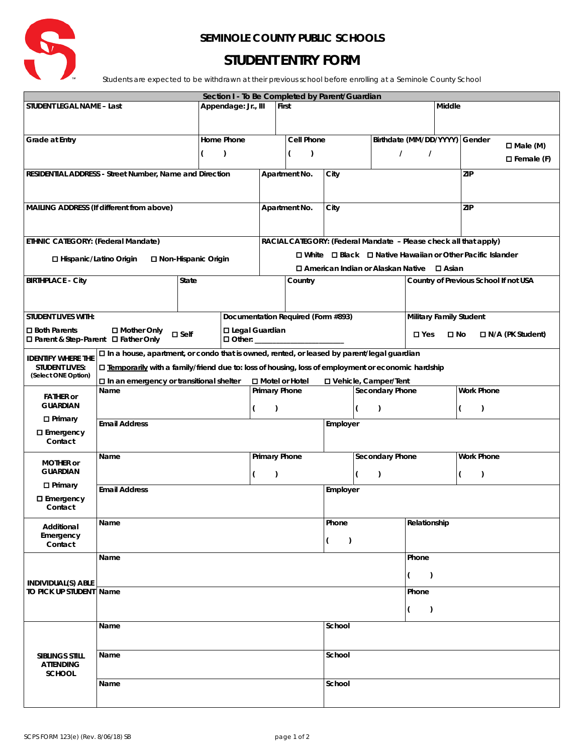

## **SEMINOLE COUNTY PUBLIC SCHOOLS**

## **STUDENT ENTRY FORM**

Students are expected to be withdrawn at their previous school before enrolling at a Seminole County School

| Section I - To Be Completed by Parent/Guardian          |                                                                                                                                                                                                    |                      |                     |                                    |                                                                                     |                                             |                        |               |                               |                                                     |                                       |                    |                 |  |
|---------------------------------------------------------|----------------------------------------------------------------------------------------------------------------------------------------------------------------------------------------------------|----------------------|---------------------|------------------------------------|-------------------------------------------------------------------------------------|---------------------------------------------|------------------------|---------------|-------------------------------|-----------------------------------------------------|---------------------------------------|--------------------|-----------------|--|
| STUDENT LEGAL NAME - Last                               |                                                                                                                                                                                                    |                      | Appendage: Jr., III |                                    | First                                                                               |                                             |                        |               |                               |                                                     | Middle                                |                    |                 |  |
|                                                         |                                                                                                                                                                                                    |                      |                     |                                    |                                                                                     |                                             |                        |               |                               |                                                     |                                       |                    |                 |  |
|                                                         |                                                                                                                                                                                                    |                      |                     |                                    |                                                                                     |                                             |                        |               |                               |                                                     |                                       |                    |                 |  |
| Grade at Entry                                          |                                                                                                                                                                                                    |                      | Home Phone          |                                    | Cell Phone                                                                          |                                             |                        |               |                               | Birthdate (MM/DD/YYYY) Gender                       |                                       |                    | $\Box$ Male (M) |  |
| $\lambda$<br>(                                          |                                                                                                                                                                                                    |                      |                     | (<br>$\lambda$                     |                                                                                     |                                             | $\prime$               |               |                               | $\prime$                                            |                                       |                    |                 |  |
|                                                         |                                                                                                                                                                                                    |                      |                     |                                    |                                                                                     |                                             |                        |               |                               |                                                     |                                       | $\Box$ Female (F)  |                 |  |
| RESIDENTIAL ADDRESS - Street Number, Name and Direction |                                                                                                                                                                                                    |                      |                     | Apartment No.                      |                                                                                     |                                             | City                   |               |                               |                                                     |                                       | ZIP                |                 |  |
|                                                         |                                                                                                                                                                                                    |                      |                     |                                    |                                                                                     |                                             |                        |               |                               |                                                     |                                       |                    |                 |  |
|                                                         |                                                                                                                                                                                                    |                      |                     |                                    |                                                                                     |                                             |                        |               |                               |                                                     |                                       |                    |                 |  |
| MAILING ADDRESS (If different from above)               |                                                                                                                                                                                                    |                      |                     |                                    | Apartment No.                                                                       |                                             |                        | City          |                               |                                                     |                                       | ZIP                |                 |  |
|                                                         |                                                                                                                                                                                                    |                      |                     |                                    |                                                                                     |                                             |                        |               |                               |                                                     |                                       |                    |                 |  |
|                                                         |                                                                                                                                                                                                    |                      |                     |                                    |                                                                                     |                                             |                        |               |                               |                                                     |                                       |                    |                 |  |
| ETHNIC CATEGORY: (Federal Mandate)                      |                                                                                                                                                                                                    |                      |                     |                                    | RACIAL CATEGORY: (Federal Mandate - Please check all that apply)                    |                                             |                        |               |                               |                                                     |                                       |                    |                 |  |
| □ Hispanic/Latino Origin<br>□ Non-Hispanic Origin       |                                                                                                                                                                                                    |                      |                     |                                    | $\square$ White $\square$ Black $\square$ Native Hawaiian or Other Pacific Islander |                                             |                        |               |                               |                                                     |                                       |                    |                 |  |
|                                                         |                                                                                                                                                                                                    |                      |                     |                                    |                                                                                     | □ American Indian or Alaskan Native □ Asian |                        |               |                               |                                                     |                                       |                    |                 |  |
| State<br><b>BIRTHPLACE - City</b>                       |                                                                                                                                                                                                    |                      |                     |                                    | Country                                                                             |                                             |                        |               |                               |                                                     | Country of Previous School If not USA |                    |                 |  |
|                                                         |                                                                                                                                                                                                    |                      |                     |                                    |                                                                                     |                                             |                        |               |                               |                                                     |                                       |                    |                 |  |
|                                                         |                                                                                                                                                                                                    |                      |                     |                                    |                                                                                     |                                             |                        |               |                               |                                                     |                                       |                    |                 |  |
| <b>STUDENT LIVES WITH:</b>                              |                                                                                                                                                                                                    |                      |                     | Documentation Required (Form #893) |                                                                                     |                                             |                        |               |                               | <b>Military Family Student</b>                      |                                       |                    |                 |  |
| $\square$ Both Parents                                  | □ Mother Only                                                                                                                                                                                      |                      |                     |                                    |                                                                                     |                                             |                        |               |                               |                                                     |                                       |                    |                 |  |
| □ Parent & Step-Parent □ Father Only                    |                                                                                                                                                                                                    | $\square$ Self       |                     | □ Legal Guardian                   |                                                                                     |                                             |                        |               |                               | $\square$ Yes<br>$\square$ No<br>□ N/A (PK Student) |                                       |                    |                 |  |
|                                                         |                                                                                                                                                                                                    |                      |                     |                                    |                                                                                     |                                             |                        |               |                               |                                                     |                                       |                    |                 |  |
| <b>IDENTIFY WHERE THE</b>                               | □ In a house, apartment, or condo that is owned, rented, or leased by parent/legal guardian<br>□ Temporarily with a family/friend due to: loss of housing, loss of employment or economic hardship |                      |                     |                                    |                                                                                     |                                             |                        |               |                               |                                                     |                                       |                    |                 |  |
| <b>STUDENT LIVES:</b><br>(Select ONE Option)            |                                                                                                                                                                                                    |                      |                     |                                    |                                                                                     |                                             |                        |               |                               |                                                     |                                       |                    |                 |  |
|                                                         | $\square$ In an emergency or transitional shelter                                                                                                                                                  |                      |                     |                                    |                                                                                     | □ Motel or Hotel<br>Primary Phone           |                        |               | <b>D</b> Vehicle, Camper/Tent |                                                     |                                       |                    |                 |  |
| <b>FATHER or</b>                                        | Name                                                                                                                                                                                               |                      |                     |                                    |                                                                                     |                                             | <b>Secondary Phone</b> |               |                               |                                                     | <b>Work Phone</b>                     |                    |                 |  |
| <b>GUARDIAN</b>                                         |                                                                                                                                                                                                    |                      |                     |                                    | $\overline{(\ }$<br>$\mathcal{L}$                                                   |                                             |                        | $\mathcal{L}$ |                               | $\mathcal{L}$<br>(                                  |                                       |                    |                 |  |
| $\Box$ Primary                                          | <b>Email Address</b>                                                                                                                                                                               |                      |                     |                                    |                                                                                     |                                             |                        | Employer      |                               |                                                     |                                       |                    |                 |  |
| □ Emergency                                             |                                                                                                                                                                                                    |                      |                     |                                    |                                                                                     |                                             |                        |               |                               |                                                     |                                       |                    |                 |  |
| Contact                                                 |                                                                                                                                                                                                    |                      |                     |                                    |                                                                                     |                                             |                        |               |                               |                                                     |                                       |                    |                 |  |
|                                                         | Name                                                                                                                                                                                               | <b>Primary Phone</b> |                     | <b>Secondary Phone</b>             |                                                                                     |                                             |                        |               | <b>Work Phone</b>             |                                                     |                                       |                    |                 |  |
| <b>MOTHER or</b>                                        |                                                                                                                                                                                                    |                      |                     |                                    |                                                                                     |                                             |                        |               |                               |                                                     |                                       |                    |                 |  |
| <b>GUARDIAN</b>                                         |                                                                                                                                                                                                    |                      |                     | (<br>$\lambda$                     |                                                                                     |                                             | (<br>$\lambda$         |               |                               |                                                     |                                       | $\mathcal{L}$<br>( |                 |  |
| $\Box$ Primary                                          | <b>Email Address</b>                                                                                                                                                                               |                      |                     |                                    | Employer                                                                            |                                             |                        |               |                               |                                                     |                                       |                    |                 |  |
| $\square$ Emergency                                     |                                                                                                                                                                                                    |                      |                     |                                    |                                                                                     |                                             |                        |               |                               |                                                     |                                       |                    |                 |  |
| Contact                                                 |                                                                                                                                                                                                    |                      |                     |                                    |                                                                                     |                                             |                        |               |                               | Relationship                                        |                                       |                    |                 |  |
| Additional                                              | Name                                                                                                                                                                                               |                      |                     |                                    |                                                                                     |                                             |                        |               | Phone                         |                                                     |                                       |                    |                 |  |
| Emergency                                               |                                                                                                                                                                                                    |                      |                     |                                    |                                                                                     |                                             |                        |               | (<br>$\lambda$                |                                                     |                                       |                    |                 |  |
| Contact                                                 |                                                                                                                                                                                                    |                      |                     |                                    |                                                                                     |                                             |                        |               |                               |                                                     |                                       |                    |                 |  |
|                                                         | Name                                                                                                                                                                                               |                      |                     |                                    |                                                                                     |                                             |                        |               |                               | Phone                                               |                                       |                    |                 |  |
| INDIVIDUAL(S) ABLE                                      |                                                                                                                                                                                                    |                      |                     |                                    |                                                                                     |                                             |                        |               |                               | (<br>$\lambda$                                      |                                       |                    |                 |  |
|                                                         |                                                                                                                                                                                                    |                      |                     |                                    |                                                                                     |                                             |                        |               |                               |                                                     |                                       |                    |                 |  |
| TO PICK UP STUDENT Name                                 |                                                                                                                                                                                                    |                      |                     |                                    |                                                                                     |                                             | (                      |               |                               | Phone                                               |                                       |                    |                 |  |
|                                                         |                                                                                                                                                                                                    |                      |                     |                                    |                                                                                     |                                             |                        |               |                               | $\lambda$                                           |                                       |                    |                 |  |
|                                                         |                                                                                                                                                                                                    |                      |                     |                                    |                                                                                     |                                             |                        |               |                               |                                                     |                                       |                    |                 |  |
|                                                         | Name                                                                                                                                                                                               |                      |                     |                                    |                                                                                     |                                             | School                 |               |                               |                                                     |                                       |                    |                 |  |
|                                                         |                                                                                                                                                                                                    |                      |                     |                                    |                                                                                     |                                             |                        |               |                               |                                                     |                                       |                    |                 |  |
| SIBLINGS STILL                                          | Name                                                                                                                                                                                               |                      |                     |                                    |                                                                                     |                                             | School                 |               |                               |                                                     |                                       |                    |                 |  |
| <b>ATTENDING</b>                                        |                                                                                                                                                                                                    |                      |                     |                                    |                                                                                     |                                             |                        |               |                               |                                                     |                                       |                    |                 |  |
| <b>SCHOOL</b>                                           |                                                                                                                                                                                                    |                      |                     |                                    |                                                                                     |                                             |                        |               |                               |                                                     |                                       |                    |                 |  |
|                                                         | Name                                                                                                                                                                                               |                      |                     |                                    |                                                                                     |                                             | School                 |               |                               |                                                     |                                       |                    |                 |  |
|                                                         |                                                                                                                                                                                                    |                      |                     |                                    |                                                                                     |                                             |                        |               |                               |                                                     |                                       |                    |                 |  |